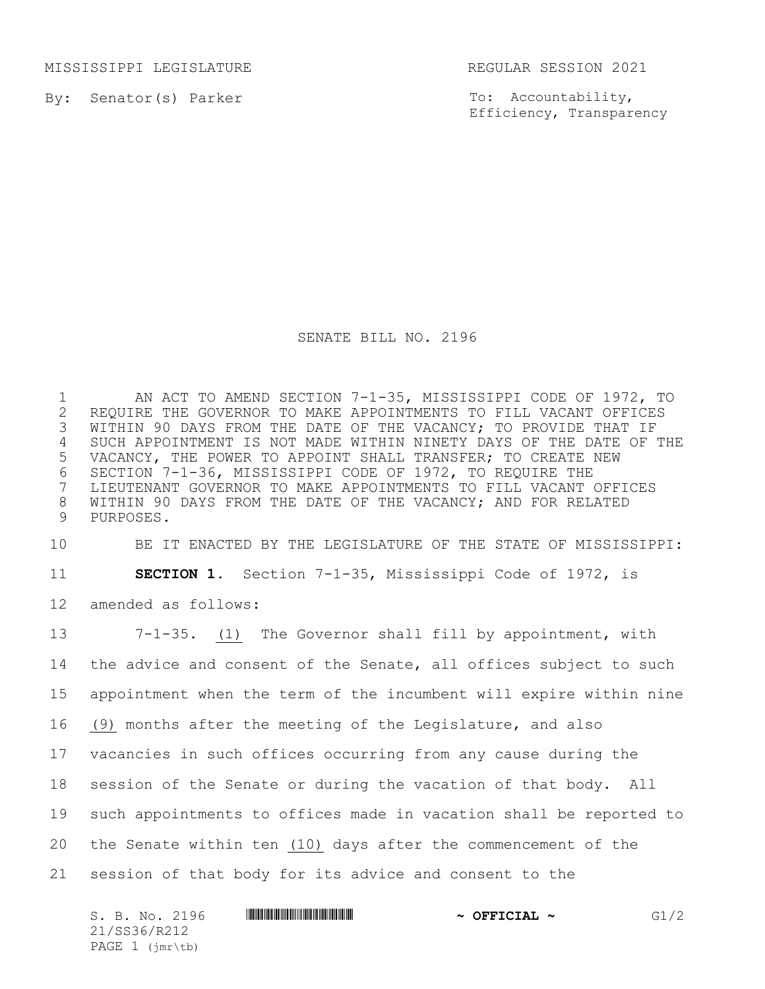MISSISSIPPI LEGISLATURE REGULAR SESSION 2021

By: Senator(s) Parker

To: Accountability, Efficiency, Transparency

## SENATE BILL NO. 2196

1 AN ACT TO AMEND SECTION 7-1-35, MISSISSIPPI CODE OF 1972, TO<br>2 REQUIRE THE GOVERNOR TO MAKE APPOINTMENTS TO FILL VACANT OFFICES 2 REQUIRE THE GOVERNOR TO MAKE APPOINTMENTS TO FILL VACANT OFFICES<br>3 WITHIN 90 DAYS FROM THE DATE OF THE VACANCY; TO PROVIDE THAT IF WITHIN 90 DAYS FROM THE DATE OF THE VACANCY; TO PROVIDE THAT IF SUCH APPOINTMENT IS NOT MADE WITHIN NINETY DAYS OF THE DATE OF THE VACANCY, THE POWER TO APPOINT SHALL TRANSFER; TO CREATE NEW SECTION 7-1-36, MISSISSIPPI CODE OF 1972, TO REQUIRE THE LIEUTENANT GOVERNOR TO MAKE APPOINTMENTS TO FILL VACANT OFFICES WITHIN 90 DAYS FROM THE DATE OF THE VACANCY; AND FOR RELATED PURPOSES.

BE IT ENACTED BY THE LEGISLATURE OF THE STATE OF MISSISSIPPI:

**SECTION 1.** Section 7-1-35, Mississippi Code of 1972, is

amended as follows:

 7-1-35. (1) The Governor shall fill by appointment, with the advice and consent of the Senate, all offices subject to such appointment when the term of the incumbent will expire within nine (9) months after the meeting of the Legislature, and also vacancies in such offices occurring from any cause during the session of the Senate or during the vacation of that body. All such appointments to offices made in vacation shall be reported to the Senate within ten (10) days after the commencement of the session of that body for its advice and consent to the

| S. B. No. 2196                             | $\sim$ OFFICIAL $\sim$ | G1/2 |
|--------------------------------------------|------------------------|------|
| 21/SS36/R212                               |                        |      |
| PAGE $1$ ( $\text{imr}\text{-}\text{tb}$ ) |                        |      |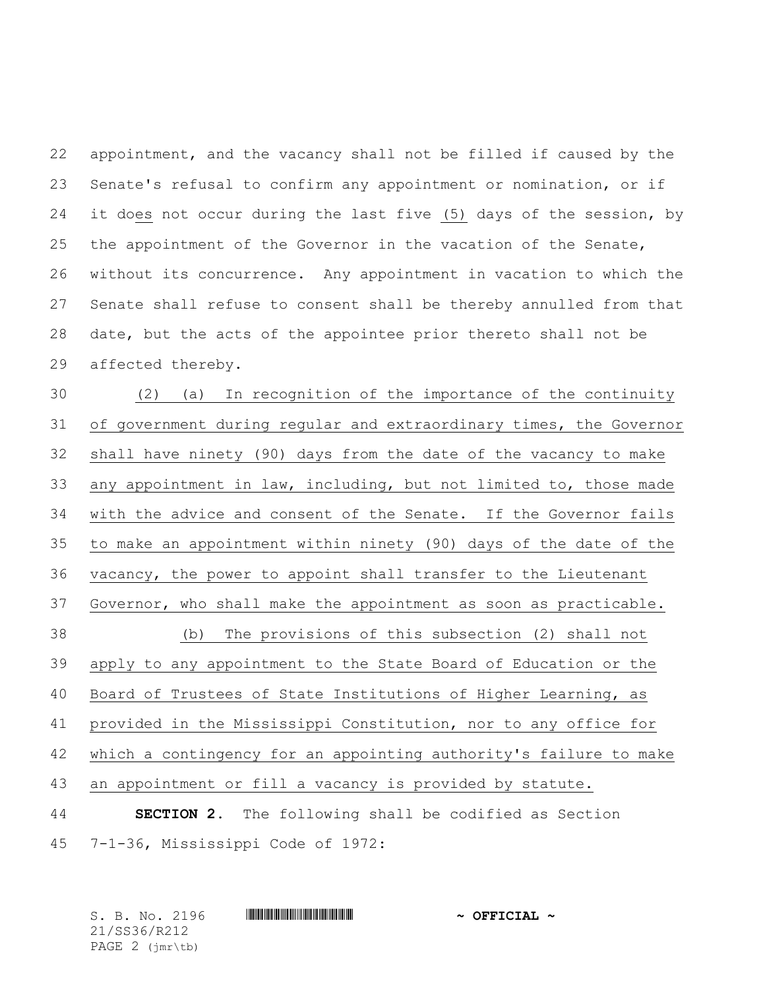appointment, and the vacancy shall not be filled if caused by the Senate's refusal to confirm any appointment or nomination, or if it does not occur during the last five (5) days of the session, by the appointment of the Governor in the vacation of the Senate, without its concurrence. Any appointment in vacation to which the Senate shall refuse to consent shall be thereby annulled from that date, but the acts of the appointee prior thereto shall not be affected thereby.

 (2) (a) In recognition of the importance of the continuity of government during regular and extraordinary times, the Governor shall have ninety (90) days from the date of the vacancy to make any appointment in law, including, but not limited to, those made with the advice and consent of the Senate. If the Governor fails to make an appointment within ninety (90) days of the date of the vacancy, the power to appoint shall transfer to the Lieutenant Governor, who shall make the appointment as soon as practicable. (b) The provisions of this subsection (2) shall not apply to any appointment to the State Board of Education or the Board of Trustees of State Institutions of Higher Learning, as provided in the Mississippi Constitution, nor to any office for which a contingency for an appointing authority's failure to make an appointment or fill a vacancy is provided by statute. **SECTION 2.** The following shall be codified as Section 7-1-36, Mississippi Code of 1972:

S. B. No. 2196 \*SS36/R212\* **~ OFFICIAL ~** 21/SS36/R212 PAGE 2 (jmr\tb)